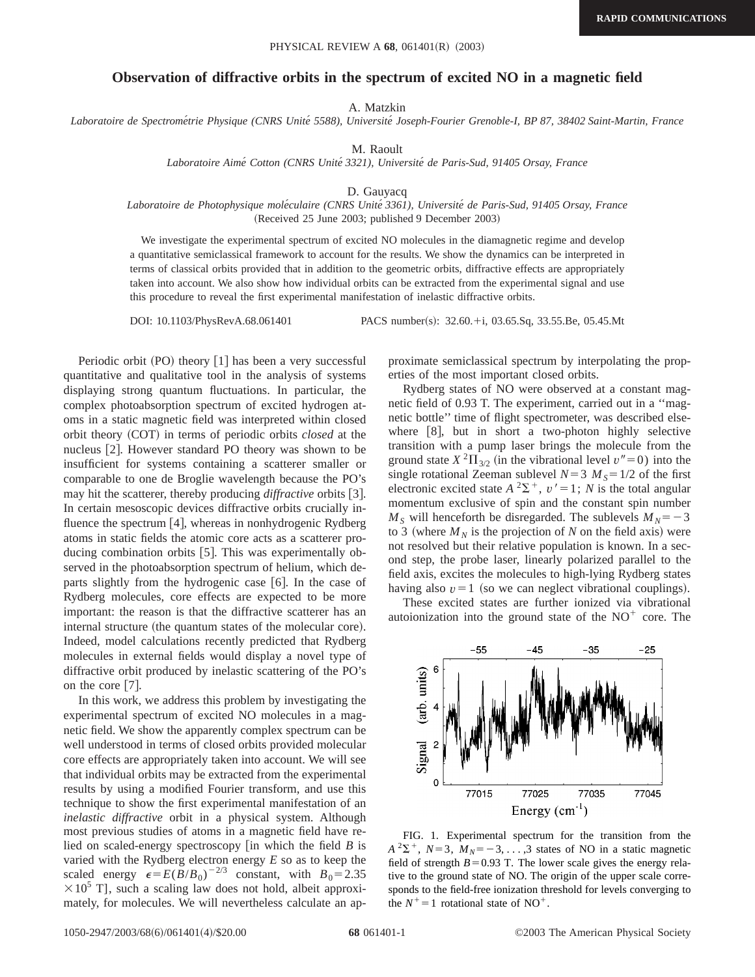## **Observation of diffractive orbits in the spectrum of excited NO in a magnetic field**

A. Matzkin

*Laboratoire de Spectrome´trie Physique (CNRS Unite´ 5588), Universite´ Joseph-Fourier Grenoble-I, BP 87, 38402 Saint-Martin, France*

M. Raoult

*Laboratoire Aime´ Cotton (CNRS Unite´ 3321), Universite´ de Paris-Sud, 91405 Orsay, France*

D. Gauyacq

## *Laboratoire de Photophysique mole´culaire (CNRS Unite´ 3361), Universite´ de Paris-Sud, 91405 Orsay, France* (Received 25 June 2003; published 9 December 2003)

We investigate the experimental spectrum of excited NO molecules in the diamagnetic regime and develop a quantitative semiclassical framework to account for the results. We show the dynamics can be interpreted in terms of classical orbits provided that in addition to the geometric orbits, diffractive effects are appropriately taken into account. We also show how individual orbits can be extracted from the experimental signal and use this procedure to reveal the first experimental manifestation of inelastic diffractive orbits.

DOI: 10.1103/PhysRevA.68.061401 PACS number(s): 32.60.+i, 03.65.Sq, 33.55.Be, 05.45.Mt

Periodic orbit  $(PO)$  theory  $[1]$  has been a very successful quantitative and qualitative tool in the analysis of systems displaying strong quantum fluctuations. In particular, the complex photoabsorption spectrum of excited hydrogen atoms in a static magnetic field was interpreted within closed orbit theory (COT) in terms of periodic orbits *closed* at the nucleus [2]. However standard PO theory was shown to be insufficient for systems containing a scatterer smaller or comparable to one de Broglie wavelength because the PO's may hit the scatterer, thereby producing *diffractive* orbits [3]. In certain mesoscopic devices diffractive orbits crucially influence the spectrum  $[4]$ , whereas in nonhydrogenic Rydberg atoms in static fields the atomic core acts as a scatterer producing combination orbits  $[5]$ . This was experimentally observed in the photoabsorption spectrum of helium, which departs slightly from the hydrogenic case  $[6]$ . In the case of Rydberg molecules, core effects are expected to be more important: the reason is that the diffractive scatterer has an internal structure (the quantum states of the molecular core). Indeed, model calculations recently predicted that Rydberg molecules in external fields would display a novel type of diffractive orbit produced by inelastic scattering of the PO's on the core  $[7]$ .

In this work, we address this problem by investigating the experimental spectrum of excited NO molecules in a magnetic field. We show the apparently complex spectrum can be well understood in terms of closed orbits provided molecular core effects are appropriately taken into account. We will see that individual orbits may be extracted from the experimental results by using a modified Fourier transform, and use this technique to show the first experimental manifestation of an *inelastic diffractive* orbit in a physical system. Although most previous studies of atoms in a magnetic field have relied on scaled-energy spectroscopy  $\left[ \text{in which the field } B \right]$  is varied with the Rydberg electron energy *E* so as to keep the scaled energy  $\epsilon = E(B/B_0)^{-2/3}$  constant, with  $B_0 = 2.35$  $\times 10^5$  T], such a scaling law does not hold, albeit approximately, for molecules. We will nevertheless calculate an approximate semiclassical spectrum by interpolating the properties of the most important closed orbits.

Rydberg states of NO were observed at a constant magnetic field of 0.93 T. The experiment, carried out in a ''magnetic bottle'' time of flight spectrometer, was described elsewhere  $[8]$ , but in short a two-photon highly selective transition with a pump laser brings the molecule from the ground state  $X^2\Pi_{3/2}$  (in the vibrational level  $v''=0$ ) into the single rotational Zeeman sublevel  $N=3$   $M<sub>S</sub>=1/2$  of the first electronic excited state  $A^2\Sigma^+$ ,  $v' = 1$ ; *N* is the total angular momentum exclusive of spin and the constant spin number  $M<sub>S</sub>$  will henceforth be disregarded. The sublevels  $M<sub>N</sub>=-3$ to 3 (where  $M_N$  is the projection of *N* on the field axis) were not resolved but their relative population is known. In a second step, the probe laser, linearly polarized parallel to the field axis, excites the molecules to high-lying Rydberg states having also  $v=1$  (so we can neglect vibrational couplings).

These excited states are further ionized via vibrational autoionization into the ground state of the  $NO<sup>+</sup>$  core. The



FIG. 1. Experimental spectrum for the transition from the  $A^2\Sigma^+$ ,  $N=3$ ,  $M_N=-3, \ldots, 3$  states of NO in a static magnetic field of strength  $B=0.93$  T. The lower scale gives the energy relative to the ground state of NO. The origin of the upper scale corresponds to the field-free ionization threshold for levels converging to the  $N^+=1$  rotational state of NO<sup>+</sup>.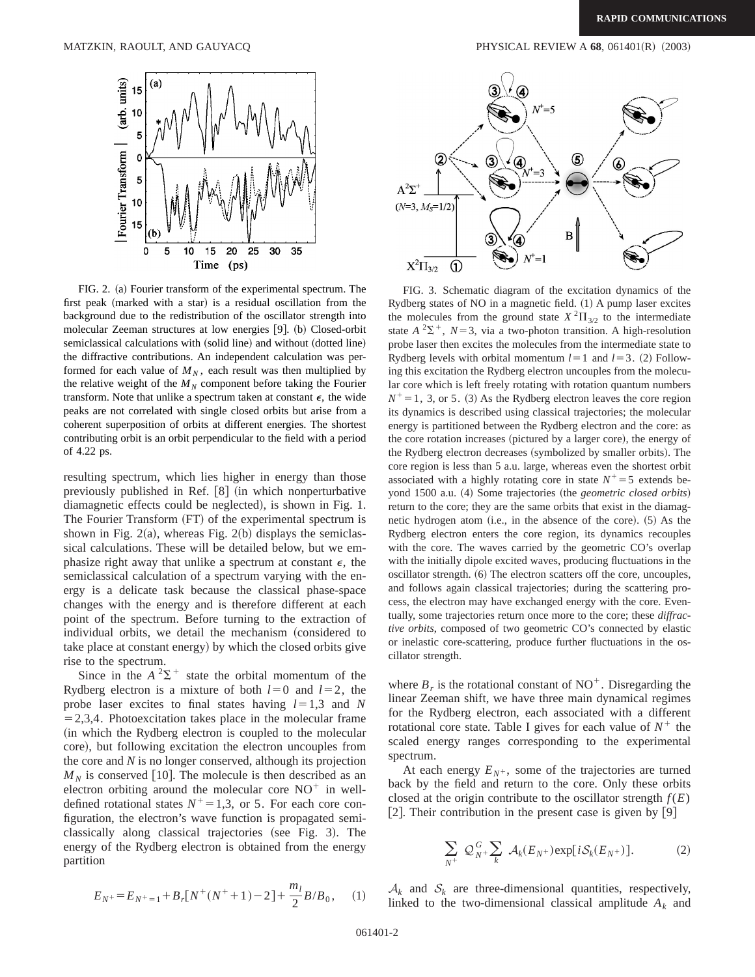(arb. units)

Fourier Transform

15 10 5

 $\Omega$ 

5

10

15  $(b)$ 

0



FIG. 2. (a) Fourier transform of the experimental spectrum. The first peak (marked with a star) is a residual oscillation from the background due to the redistribution of the oscillator strength into molecular Zeeman structures at low energies [9]. (b) Closed-orbit semiclassical calculations with (solid line) and without (dotted line) the diffractive contributions. An independent calculation was performed for each value of  $M_N$ , each result was then multiplied by the relative weight of the  $M_N$  component before taking the Fourier transform. Note that unlike a spectrum taken at constant  $\epsilon$ , the wide peaks are not correlated with single closed orbits but arise from a coherent superposition of orbits at different energies. The shortest contributing orbit is an orbit perpendicular to the field with a period of 4.22 ps.

resulting spectrum, which lies higher in energy than those previously published in Ref.  $[8]$  (in which nonperturbative diamagnetic effects could be neglected), is shown in Fig. 1. The Fourier Transform (FT) of the experimental spectrum is shown in Fig. 2(a), whereas Fig. 2(b) displays the semiclassical calculations. These will be detailed below, but we emphasize right away that unlike a spectrum at constant  $\epsilon$ , the semiclassical calculation of a spectrum varying with the energy is a delicate task because the classical phase-space changes with the energy and is therefore different at each point of the spectrum. Before turning to the extraction of individual orbits, we detail the mechanism (considered to take place at constant energy) by which the closed orbits give rise to the spectrum.

Since in the  $A^2\Sigma^+$  state the orbital momentum of the Rydberg electron is a mixture of both  $l=0$  and  $l=2$ , the probe laser excites to final states having  $l=1,3$  and *N*  $=2,3,4$ . Photoexcitation takes place in the molecular frame (in which the Rydberg electron is coupled to the molecular core), but following excitation the electron uncouples from the core and *N* is no longer conserved, although its projection  $M_N$  is conserved [10]. The molecule is then described as an electron orbiting around the molecular core  $NO^+$  in welldefined rotational states  $N^+=1,3$ , or 5. For each core configuration, the electron's wave function is propagated semiclassically along classical trajectories (see Fig. 3). The energy of the Rydberg electron is obtained from the energy partition

$$
E_{N^{+}} = E_{N^{+}=1} + B_{r}[N^{+}(N^{+}+1)-2] + \frac{m_{l}}{2}B/B_{0}, \quad (1)
$$



FIG. 3. Schematic diagram of the excitation dynamics of the Rydberg states of NO in a magnetic field.  $(1)$  A pump laser excites the molecules from the ground state  $X^{2}\Pi_{3/2}$  to the intermediate state  $A^2\Sigma^+$ ,  $N=3$ , via a two-photon transition. A high-resolution probe laser then excites the molecules from the intermediate state to Rydberg levels with orbital momentum  $l=1$  and  $l=3$ . (2) Following this excitation the Rydberg electron uncouples from the molecular core which is left freely rotating with rotation quantum numbers  $N^+=1$ , 3, or 5. (3) As the Rydberg electron leaves the core region its dynamics is described using classical trajectories; the molecular energy is partitioned between the Rydberg electron and the core: as the core rotation increases (pictured by a larger core), the energy of the Rydberg electron decreases (symbolized by smaller orbits). The core region is less than 5 a.u. large, whereas even the shortest orbit associated with a highly rotating core in state  $N^+=5$  extends beyond 1500 a.u. (4) Some trajectories (the *geometric closed orbits*) return to the core; they are the same orbits that exist in the diamagnetic hydrogen atom  $(i.e., in the absence of the core)$ .  $(5)$  As the Rydberg electron enters the core region, its dynamics recouples with the core. The waves carried by the geometric CO's overlap with the initially dipole excited waves, producing fluctuations in the oscillator strength.  $(6)$  The electron scatters off the core, uncouples, and follows again classical trajectories; during the scattering process, the electron may have exchanged energy with the core. Eventually, some trajectories return once more to the core; these *diffractive orbits*, composed of two geometric CO's connected by elastic or inelastic core-scattering, produce further fluctuations in the oscillator strength.

where  $B_r$  is the rotational constant of NO<sup>+</sup>. Disregarding the linear Zeeman shift, we have three main dynamical regimes for the Rydberg electron, each associated with a different rotational core state. Table I gives for each value of  $N^+$  the scaled energy ranges corresponding to the experimental spectrum.

At each energy  $E_{N^+}$ , some of the trajectories are turned back by the field and return to the core. Only these orbits closed at the origin contribute to the oscillator strength  $f(E)$ [2]. Their contribution in the present case is given by  $[9]$ 

$$
\sum_{N^+} \mathcal{Q}_{N^+}^G \sum_k \mathcal{A}_k(E_{N^+}) \exp[i\mathcal{S}_k(E_{N^+})]. \tag{2}
$$

 $A_k$  and  $S_k$  are three-dimensional quantities, respectively, linked to the two-dimensional classical amplitude  $A_k$  and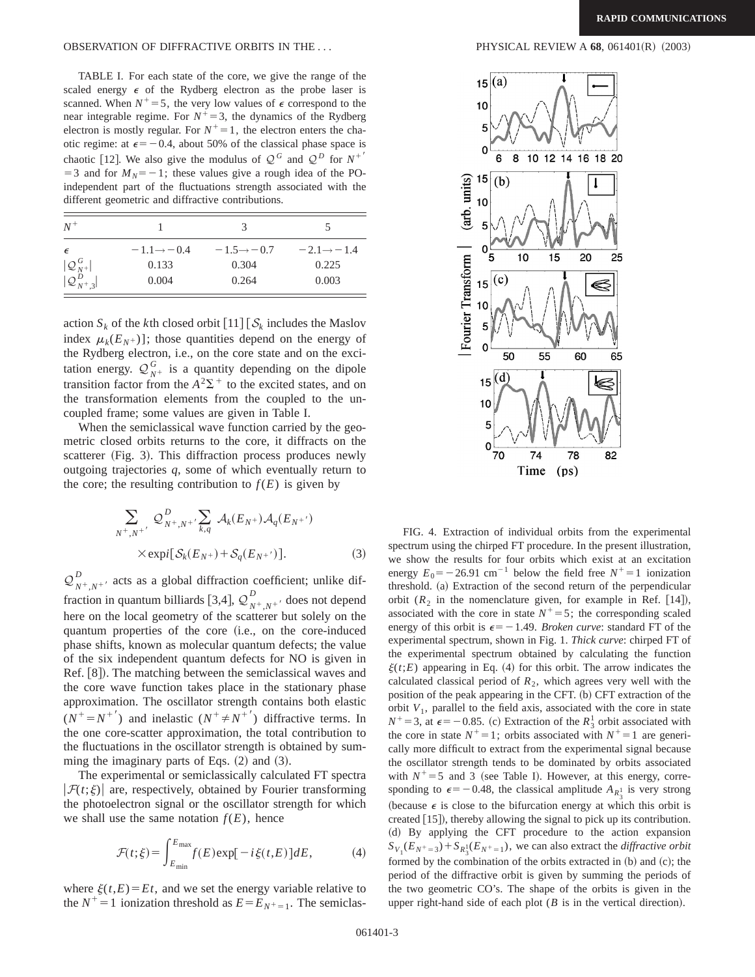TABLE I. For each state of the core, we give the range of the scaled energy  $\epsilon$  of the Rydberg electron as the probe laser is scanned. When  $N^+=5$ , the very low values of  $\epsilon$  correspond to the near integrable regime. For  $N^+=3$ , the dynamics of the Rydberg electron is mostly regular. For  $N^+=1$ , the electron enters the chaotic regime: at  $\epsilon = -0.4$ , about 50% of the classical phase space is chaotic [12]. We also give the modulus of  $Q^G$  and  $Q^D$  for  $N^+$  $=$  3 and for  $M_N$ = -1; these values give a rough idea of the POindependent part of the fluctuations strength associated with the different geometric and diffractive contributions.

| $N^+$                                                                               |                         |                         |                         |
|-------------------------------------------------------------------------------------|-------------------------|-------------------------|-------------------------|
| $\epsilon$                                                                          | $-1.1 \rightarrow -0.4$ | $-1.5 \rightarrow -0.7$ | $-2.1 \rightarrow -1.4$ |
|                                                                                     | 0.133                   | 0.304                   | 0.225                   |
| $\begin{array}{c}   \mathcal{Q}_{N^+}^G   \\   \mathcal{Q}_{N^+,3}^D   \end{array}$ | 0.004                   | 0.264                   | 0.003                   |

action  $S_k$  of the *k*th closed orbit  $[11] [\mathcal{S}_k]$  includes the Maslov index  $\mu_k(E_N+)]$ ; those quantities depend on the energy of the Rydberg electron, i.e., on the core state and on the excitation energy.  $Q_{N^+}^G$  is a quantity depending on the dipole transition factor from the  $A^2\Sigma^+$  to the excited states, and on the transformation elements from the coupled to the uncoupled frame; some values are given in Table I.

When the semiclassical wave function carried by the geometric closed orbits returns to the core, it diffracts on the scatterer (Fig. 3). This diffraction process produces newly outgoing trajectories *q*, some of which eventually return to the core; the resulting contribution to  $f(E)$  is given by

$$
\sum_{N^+, N^+'} \mathcal{Q}_{N^+, N^+}^D \sum_{k,q} \mathcal{A}_k(E_{N^+}) \mathcal{A}_q(E_{N^+})
$$
  
× expi[ $\mathcal{S}_k(E_{N^+}) + \mathcal{S}_q(E_{N^+})$ ]. (3)

 $Q_{N^+,N^+}^D$  acts as a global diffraction coefficient; unlike diffraction in quantum billiards [3,4],  $\mathcal{Q}_{N^+, N^+}^D$  does not depend here on the local geometry of the scatterer but solely on the quantum properties of the core (i.e., on the core-induced phase shifts, known as molecular quantum defects; the value of the six independent quantum defects for NO is given in Ref. [8]). The matching between the semiclassical waves and the core wave function takes place in the stationary phase approximation. The oscillator strength contains both elastic  $(N^+ = N^{+})$  and inelastic  $(N^+ \neq N^{+})$  diffractive terms. In the one core-scatter approximation, the total contribution to the fluctuations in the oscillator strength is obtained by summing the imaginary parts of Eqs.  $(2)$  and  $(3)$ .

The experimental or semiclassically calculated FT spectra  $|\mathcal{F}(t;\xi)|$  are, respectively, obtained by Fourier transforming the photoelectron signal or the oscillator strength for which we shall use the same notation  $f(E)$ , hence

$$
\mathcal{F}(t;\xi) = \int_{E_{\text{min}}}^{E_{\text{max}}} f(E) \exp[-i\xi(t,E)]dE, \tag{4}
$$

where  $\xi(t,E) = Et$ , and we set the energy variable relative to the  $N^+=1$  ionization threshold as  $E=E_{N^+=1}$ . The semiclas-



FIG. 4. Extraction of individual orbits from the experimental spectrum using the chirped FT procedure. In the present illustration, we show the results for four orbits which exist at an excitation energy  $E_0 = -26.91$  cm<sup>-1</sup> below the field free  $N^+=1$  ionization threshold. (a) Extraction of the second return of the perpendicular orbit  $(R_2$  in the nomenclature given, for example in Ref. [14]), associated with the core in state  $N^+=5$ ; the corresponding scaled energy of this orbit is  $\epsilon = -1.49$ . *Broken curve*: standard FT of the experimental spectrum, shown in Fig. 1. *Thick curve*: chirped FT of the experimental spectrum obtained by calculating the function  $\xi(t;E)$  appearing in Eq. (4) for this orbit. The arrow indicates the calculated classical period of  $R_2$ , which agrees very well with the position of the peak appearing in the CFT.  $(b)$  CFT extraction of the orbit  $V_1$ , parallel to the field axis, associated with the core in state  $N^+$  = 3, at  $\epsilon$  = -0.85. (c) Extraction of the  $R_3^1$  orbit associated with the core in state  $N^+=1$ ; orbits associated with  $N^+=1$  are generically more difficult to extract from the experimental signal because the oscillator strength tends to be dominated by orbits associated with  $N^+=5$  and 3 (see Table I). However, at this energy, corresponding to  $\epsilon = -0.48$ , the classical amplitude  $A_{R_3^1}$  is very strong (because  $\epsilon$  is close to the bifurcation energy at which this orbit is created  $[15]$ ), thereby allowing the signal to pick up its contribution. ~d! By applying the CFT procedure to the action expansion  $S_{V_1}(E_{N^+=3})+S_{R_3^1}(E_{N^+=1})$ , we can also extract the *diffractive orbit* formed by the combination of the orbits extracted in  $(b)$  and  $(c)$ ; the period of the diffractive orbit is given by summing the periods of the two geometric CO's. The shape of the orbits is given in the upper right-hand side of each plot  $(B \text{ is in the vertical direction}).$